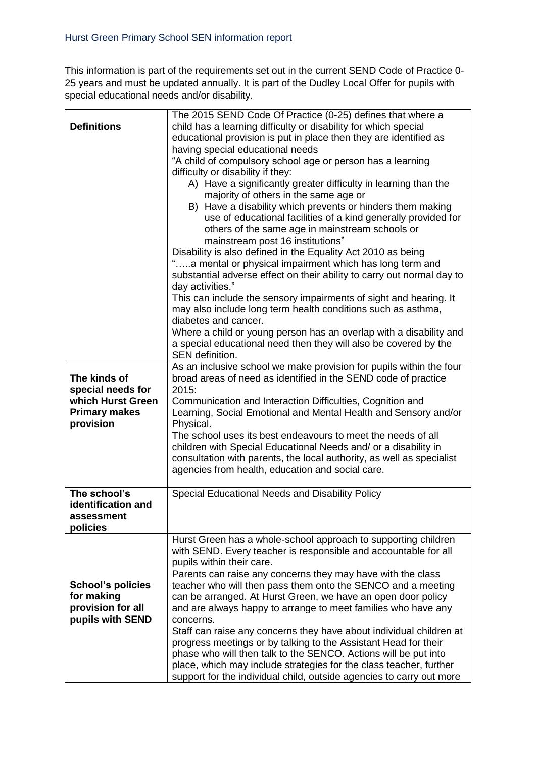This information is part of the requirements set out in the current SEND Code of Practice 0- 25 years and must be updated annually. It is part of the Dudley Local Offer for pupils with special educational needs and/or disability.

| <b>Definitions</b><br>The kinds of<br>special needs for<br>which Hurst Green<br><b>Primary makes</b><br>provision | The 2015 SEND Code Of Practice (0-25) defines that where a<br>child has a learning difficulty or disability for which special<br>educational provision is put in place then they are identified as<br>having special educational needs<br>"A child of compulsory school age or person has a learning<br>difficulty or disability if they:<br>A) Have a significantly greater difficulty in learning than the<br>majority of others in the same age or<br>B) Have a disability which prevents or hinders them making<br>use of educational facilities of a kind generally provided for<br>others of the same age in mainstream schools or<br>mainstream post 16 institutions"<br>Disability is also defined in the Equality Act 2010 as being<br>"a mental or physical impairment which has long term and<br>substantial adverse effect on their ability to carry out normal day to<br>day activities."<br>This can include the sensory impairments of sight and hearing. It<br>may also include long term health conditions such as asthma,<br>diabetes and cancer.<br>Where a child or young person has an overlap with a disability and<br>a special educational need then they will also be covered by the<br>SEN definition.<br>As an inclusive school we make provision for pupils within the four<br>broad areas of need as identified in the SEND code of practice<br>2015:<br>Communication and Interaction Difficulties, Cognition and<br>Learning, Social Emotional and Mental Health and Sensory and/or<br>Physical.<br>The school uses its best endeavours to meet the needs of all<br>children with Special Educational Needs and/ or a disability in |
|-------------------------------------------------------------------------------------------------------------------|--------------------------------------------------------------------------------------------------------------------------------------------------------------------------------------------------------------------------------------------------------------------------------------------------------------------------------------------------------------------------------------------------------------------------------------------------------------------------------------------------------------------------------------------------------------------------------------------------------------------------------------------------------------------------------------------------------------------------------------------------------------------------------------------------------------------------------------------------------------------------------------------------------------------------------------------------------------------------------------------------------------------------------------------------------------------------------------------------------------------------------------------------------------------------------------------------------------------------------------------------------------------------------------------------------------------------------------------------------------------------------------------------------------------------------------------------------------------------------------------------------------------------------------------------------------------------------------------------------------------------------------------------------------------|
|                                                                                                                   | consultation with parents, the local authority, as well as specialist<br>agencies from health, education and social care.                                                                                                                                                                                                                                                                                                                                                                                                                                                                                                                                                                                                                                                                                                                                                                                                                                                                                                                                                                                                                                                                                                                                                                                                                                                                                                                                                                                                                                                                                                                                          |
| The school's<br>identification and<br>assessment<br>policies                                                      | Special Educational Needs and Disability Policy                                                                                                                                                                                                                                                                                                                                                                                                                                                                                                                                                                                                                                                                                                                                                                                                                                                                                                                                                                                                                                                                                                                                                                                                                                                                                                                                                                                                                                                                                                                                                                                                                    |
| <b>School's policies</b><br>for making<br>provision for all<br>pupils with SEND                                   | Hurst Green has a whole-school approach to supporting children<br>with SEND. Every teacher is responsible and accountable for all<br>pupils within their care.<br>Parents can raise any concerns they may have with the class<br>teacher who will then pass them onto the SENCO and a meeting<br>can be arranged. At Hurst Green, we have an open door policy<br>and are always happy to arrange to meet families who have any<br>concerns.<br>Staff can raise any concerns they have about individual children at<br>progress meetings or by talking to the Assistant Head for their<br>phase who will then talk to the SENCO. Actions will be put into<br>place, which may include strategies for the class teacher, further<br>support for the individual child, outside agencies to carry out more                                                                                                                                                                                                                                                                                                                                                                                                                                                                                                                                                                                                                                                                                                                                                                                                                                                             |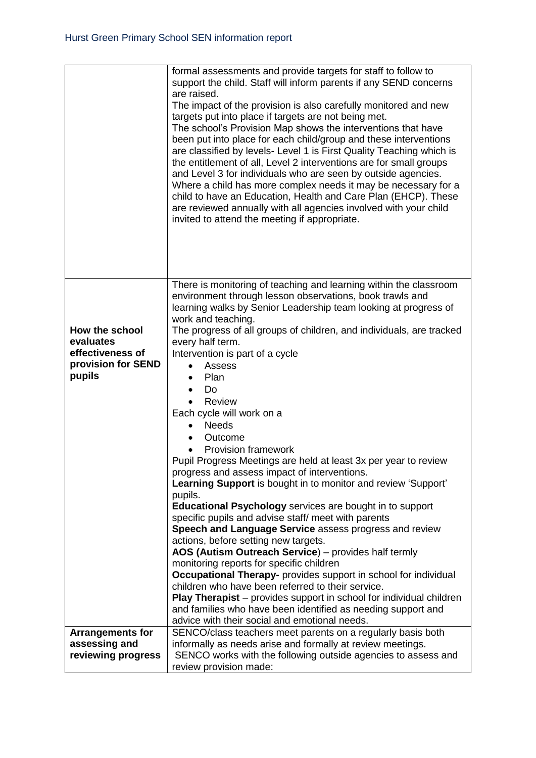|                                                                                 | formal assessments and provide targets for staff to follow to<br>support the child. Staff will inform parents if any SEND concerns<br>are raised.<br>The impact of the provision is also carefully monitored and new<br>targets put into place if targets are not being met.<br>The school's Provision Map shows the interventions that have<br>been put into place for each child/group and these interventions<br>are classified by levels- Level 1 is First Quality Teaching which is<br>the entitlement of all, Level 2 interventions are for small groups<br>and Level 3 for individuals who are seen by outside agencies.<br>Where a child has more complex needs it may be necessary for a<br>child to have an Education, Health and Care Plan (EHCP). These<br>are reviewed annually with all agencies involved with your child<br>invited to attend the meeting if appropriate.                                                                                                                                                                                                                                                                                                                                                                                                                                                  |
|---------------------------------------------------------------------------------|-------------------------------------------------------------------------------------------------------------------------------------------------------------------------------------------------------------------------------------------------------------------------------------------------------------------------------------------------------------------------------------------------------------------------------------------------------------------------------------------------------------------------------------------------------------------------------------------------------------------------------------------------------------------------------------------------------------------------------------------------------------------------------------------------------------------------------------------------------------------------------------------------------------------------------------------------------------------------------------------------------------------------------------------------------------------------------------------------------------------------------------------------------------------------------------------------------------------------------------------------------------------------------------------------------------------------------------------|
| How the school<br>evaluates<br>effectiveness of<br>provision for SEND<br>pupils | There is monitoring of teaching and learning within the classroom<br>environment through lesson observations, book trawls and<br>learning walks by Senior Leadership team looking at progress of<br>work and teaching.<br>The progress of all groups of children, and individuals, are tracked<br>every half term.<br>Intervention is part of a cycle<br>Assess<br>$\bullet$<br>Plan<br>Do<br>Review<br>Each cycle will work on a<br><b>Needs</b><br>Outcome<br>Provision framework<br>Pupil Progress Meetings are held at least 3x per year to review<br>progress and assess impact of interventions.<br>Learning Support is bought in to monitor and review 'Support'<br>pupils.<br><b>Educational Psychology</b> services are bought in to support<br>specific pupils and advise staff/ meet with parents<br>Speech and Language Service assess progress and review<br>actions, before setting new targets.<br>AOS (Autism Outreach Service) - provides half termly<br>monitoring reports for specific children<br><b>Occupational Therapy-</b> provides support in school for individual<br>children who have been referred to their service.<br>Play Therapist - provides support in school for individual children<br>and families who have been identified as needing support and<br>advice with their social and emotional needs. |
| <b>Arrangements for</b>                                                         | SENCO/class teachers meet parents on a regularly basis both                                                                                                                                                                                                                                                                                                                                                                                                                                                                                                                                                                                                                                                                                                                                                                                                                                                                                                                                                                                                                                                                                                                                                                                                                                                                               |
| assessing and<br>reviewing progress                                             | informally as needs arise and formally at review meetings.<br>SENCO works with the following outside agencies to assess and<br>review provision made:                                                                                                                                                                                                                                                                                                                                                                                                                                                                                                                                                                                                                                                                                                                                                                                                                                                                                                                                                                                                                                                                                                                                                                                     |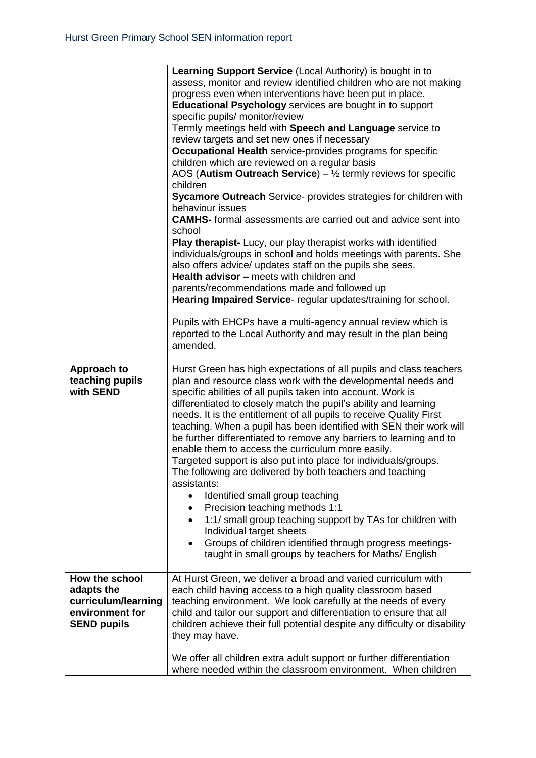|                     | <b>Learning Support Service (Local Authority) is bought in to</b>                                                                          |
|---------------------|--------------------------------------------------------------------------------------------------------------------------------------------|
|                     | assess, monitor and review identified children who are not making                                                                          |
|                     | progress even when interventions have been put in place.                                                                                   |
|                     | <b>Educational Psychology</b> services are bought in to support<br>specific pupils/ monitor/review                                         |
|                     | Termly meetings held with Speech and Language service to                                                                                   |
|                     | review targets and set new ones if necessary                                                                                               |
|                     | <b>Occupational Health service-provides programs for specific</b>                                                                          |
|                     | children which are reviewed on a regular basis                                                                                             |
|                     | AOS (Autism Outreach Service) $ \frac{1}{2}$ termly reviews for specific<br>children                                                       |
|                     | Sycamore Outreach Service- provides strategies for children with<br>behaviour issues                                                       |
|                     | <b>CAMHS-</b> formal assessments are carried out and advice sent into<br>school                                                            |
|                     | Play therapist- Lucy, our play therapist works with identified                                                                             |
|                     | individuals/groups in school and holds meetings with parents. She                                                                          |
|                     | also offers advice/ updates staff on the pupils she sees.                                                                                  |
|                     | Health advisor - meets with children and                                                                                                   |
|                     | parents/recommendations made and followed up                                                                                               |
|                     | Hearing Impaired Service- regular updates/training for school.                                                                             |
|                     |                                                                                                                                            |
|                     | Pupils with EHCPs have a multi-agency annual review which is                                                                               |
|                     | reported to the Local Authority and may result in the plan being<br>amended.                                                               |
|                     |                                                                                                                                            |
| <b>Approach to</b>  | Hurst Green has high expectations of all pupils and class teachers                                                                         |
| teaching pupils     | plan and resource class work with the developmental needs and                                                                              |
| with SEND           | specific abilities of all pupils taken into account. Work is                                                                               |
|                     | differentiated to closely match the pupil's ability and learning                                                                           |
|                     | needs. It is the entitlement of all pupils to receive Quality First                                                                        |
|                     | teaching. When a pupil has been identified with SEN their work will<br>be further differentiated to remove any barriers to learning and to |
|                     | enable them to access the curriculum more easily.                                                                                          |
|                     | Targeted support is also put into place for individuals/groups.                                                                            |
|                     | The following are delivered by both teachers and teaching                                                                                  |
|                     | assistants:                                                                                                                                |
|                     | Identified small group teaching                                                                                                            |
|                     | Precision teaching methods 1:1                                                                                                             |
|                     | 1:1/ small group teaching support by TAs for children with                                                                                 |
|                     | Individual target sheets                                                                                                                   |
|                     | Groups of children identified through progress meetings-                                                                                   |
|                     | taught in small groups by teachers for Maths/ English                                                                                      |
| How the school      | At Hurst Green, we deliver a broad and varied curriculum with                                                                              |
| adapts the          | each child having access to a high quality classroom based                                                                                 |
| curriculum/learning | teaching environment. We look carefully at the needs of every                                                                              |
| environment for     | child and tailor our support and differentiation to ensure that all                                                                        |
| <b>SEND pupils</b>  | children achieve their full potential despite any difficulty or disability                                                                 |
|                     |                                                                                                                                            |
|                     | they may have.                                                                                                                             |
|                     |                                                                                                                                            |
|                     | We offer all children extra adult support or further differentiation<br>where needed within the classroom environment. When children       |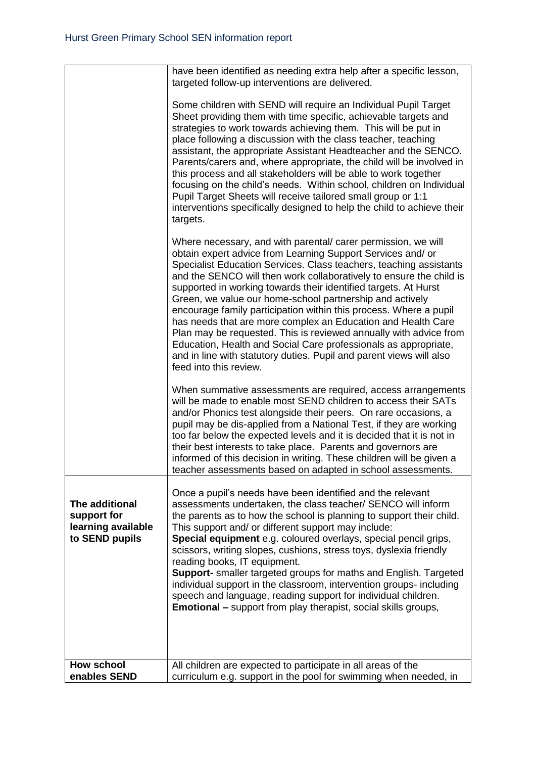|                                                                       | have been identified as needing extra help after a specific lesson,<br>targeted follow-up interventions are delivered.<br>Some children with SEND will require an Individual Pupil Target<br>Sheet providing them with time specific, achievable targets and<br>strategies to work towards achieving them. This will be put in<br>place following a discussion with the class teacher, teaching<br>assistant, the appropriate Assistant Headteacher and the SENCO.<br>Parents/carers and, where appropriate, the child will be involved in<br>this process and all stakeholders will be able to work together<br>focusing on the child's needs. Within school, children on Individual<br>Pupil Target Sheets will receive tailored small group or 1:1<br>interventions specifically designed to help the child to achieve their<br>targets.<br>Where necessary, and with parental/ carer permission, we will<br>obtain expert advice from Learning Support Services and/ or<br>Specialist Education Services. Class teachers, teaching assistants<br>and the SENCO will then work collaboratively to ensure the child is<br>supported in working towards their identified targets. At Hurst<br>Green, we value our home-school partnership and actively<br>encourage family participation within this process. Where a pupil<br>has needs that are more complex an Education and Health Care<br>Plan may be requested. This is reviewed annually with advice from<br>Education, Health and Social Care professionals as appropriate,<br>and in line with statutory duties. Pupil and parent views will also<br>feed into this review.<br>When summative assessments are required, access arrangements<br>will be made to enable most SEND children to access their SATs<br>and/or Phonics test alongside their peers. On rare occasions, a<br>pupil may be dis-applied from a National Test, if they are working<br>too far below the expected levels and it is decided that it is not in<br>their best interests to take place. Parents and governors are |
|-----------------------------------------------------------------------|------------------------------------------------------------------------------------------------------------------------------------------------------------------------------------------------------------------------------------------------------------------------------------------------------------------------------------------------------------------------------------------------------------------------------------------------------------------------------------------------------------------------------------------------------------------------------------------------------------------------------------------------------------------------------------------------------------------------------------------------------------------------------------------------------------------------------------------------------------------------------------------------------------------------------------------------------------------------------------------------------------------------------------------------------------------------------------------------------------------------------------------------------------------------------------------------------------------------------------------------------------------------------------------------------------------------------------------------------------------------------------------------------------------------------------------------------------------------------------------------------------------------------------------------------------------------------------------------------------------------------------------------------------------------------------------------------------------------------------------------------------------------------------------------------------------------------------------------------------------------------------------------------------------------------------------------------------------------------------------------------------------------------------------------------------|
|                                                                       | informed of this decision in writing. These children will be given a<br>teacher assessments based on adapted in school assessments.                                                                                                                                                                                                                                                                                                                                                                                                                                                                                                                                                                                                                                                                                                                                                                                                                                                                                                                                                                                                                                                                                                                                                                                                                                                                                                                                                                                                                                                                                                                                                                                                                                                                                                                                                                                                                                                                                                                        |
| The additional<br>support for<br>learning available<br>to SEND pupils | Once a pupil's needs have been identified and the relevant<br>assessments undertaken, the class teacher/ SENCO will inform<br>the parents as to how the school is planning to support their child.<br>This support and/ or different support may include:<br>Special equipment e.g. coloured overlays, special pencil grips,<br>scissors, writing slopes, cushions, stress toys, dyslexia friendly<br>reading books, IT equipment.<br><b>Support-</b> smaller targeted groups for maths and English. Targeted<br>individual support in the classroom, intervention groups- including<br>speech and language, reading support for individual children.<br><b>Emotional –</b> support from play therapist, social skills groups,                                                                                                                                                                                                                                                                                                                                                                                                                                                                                                                                                                                                                                                                                                                                                                                                                                                                                                                                                                                                                                                                                                                                                                                                                                                                                                                             |
| <b>How school</b><br>enables SEND                                     | All children are expected to participate in all areas of the<br>curriculum e.g. support in the pool for swimming when needed, in                                                                                                                                                                                                                                                                                                                                                                                                                                                                                                                                                                                                                                                                                                                                                                                                                                                                                                                                                                                                                                                                                                                                                                                                                                                                                                                                                                                                                                                                                                                                                                                                                                                                                                                                                                                                                                                                                                                           |
|                                                                       |                                                                                                                                                                                                                                                                                                                                                                                                                                                                                                                                                                                                                                                                                                                                                                                                                                                                                                                                                                                                                                                                                                                                                                                                                                                                                                                                                                                                                                                                                                                                                                                                                                                                                                                                                                                                                                                                                                                                                                                                                                                            |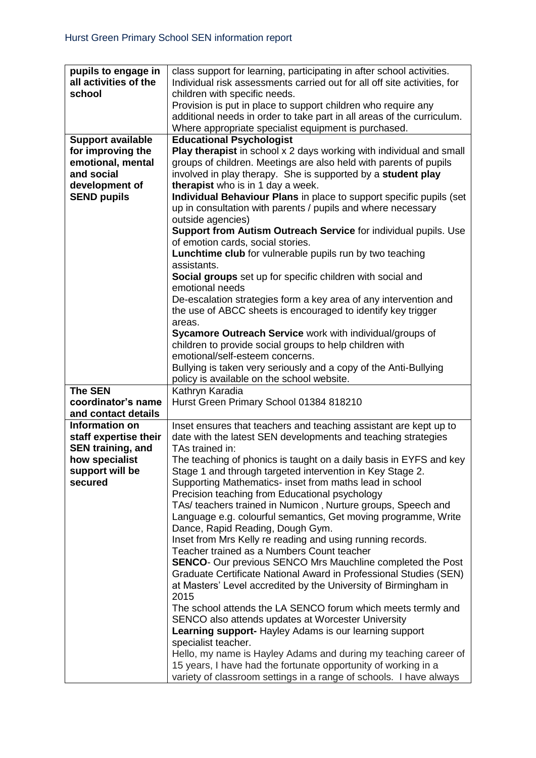| pupils to engage in             | class support for learning, participating in after school activities.                                                                |
|---------------------------------|--------------------------------------------------------------------------------------------------------------------------------------|
| all activities of the           | Individual risk assessments carried out for all off site activities, for                                                             |
| school                          | children with specific needs.                                                                                                        |
|                                 | Provision is put in place to support children who require any                                                                        |
|                                 | additional needs in order to take part in all areas of the curriculum.                                                               |
|                                 | Where appropriate specialist equipment is purchased.                                                                                 |
| <b>Support available</b>        | <b>Educational Psychologist</b>                                                                                                      |
| for improving the               | Play therapist in school x 2 days working with individual and small                                                                  |
| emotional, mental<br>and social | groups of children. Meetings are also held with parents of pupils                                                                    |
| development of                  | involved in play therapy. She is supported by a student play<br>therapist who is in 1 day a week.                                    |
| <b>SEND pupils</b>              | Individual Behaviour Plans in place to support specific pupils (set                                                                  |
|                                 | up in consultation with parents / pupils and where necessary                                                                         |
|                                 | outside agencies)                                                                                                                    |
|                                 | Support from Autism Outreach Service for individual pupils. Use                                                                      |
|                                 | of emotion cards, social stories.                                                                                                    |
|                                 | Lunchtime club for vulnerable pupils run by two teaching                                                                             |
|                                 | assistants.                                                                                                                          |
|                                 | Social groups set up for specific children with social and                                                                           |
|                                 | emotional needs                                                                                                                      |
|                                 | De-escalation strategies form a key area of any intervention and                                                                     |
|                                 | the use of ABCC sheets is encouraged to identify key trigger                                                                         |
|                                 | areas.                                                                                                                               |
|                                 | Sycamore Outreach Service work with individual/groups of                                                                             |
|                                 | children to provide social groups to help children with                                                                              |
|                                 | emotional/self-esteem concerns.                                                                                                      |
|                                 | Bullying is taken very seriously and a copy of the Anti-Bullying                                                                     |
| <b>The SEN</b>                  | policy is available on the school website.<br>Kathryn Karadia                                                                        |
| coordinator's name              | Hurst Green Primary School 01384 818210                                                                                              |
| and contact details             |                                                                                                                                      |
| <b>Information on</b>           | Inset ensures that teachers and teaching assistant are kept up to                                                                    |
| staff expertise their           | date with the latest SEN developments and teaching strategies                                                                        |
| <b>SEN training, and</b>        | TAs trained in:                                                                                                                      |
| how specialist                  | The teaching of phonics is taught on a daily basis in EYFS and key                                                                   |
| support will be                 | Stage 1 and through targeted intervention in Key Stage 2.                                                                            |
| secured                         | Supporting Mathematics- inset from maths lead in school                                                                              |
|                                 | Precision teaching from Educational psychology                                                                                       |
|                                 | TAs/ teachers trained in Numicon, Nurture groups, Speech and                                                                         |
|                                 | Language e.g. colourful semantics, Get moving programme, Write                                                                       |
|                                 | Dance, Rapid Reading, Dough Gym.                                                                                                     |
|                                 | Inset from Mrs Kelly re reading and using running records.                                                                           |
|                                 | Teacher trained as a Numbers Count teacher                                                                                           |
|                                 | <b>SENCO-</b> Our previous SENCO Mrs Mauchline completed the Post                                                                    |
|                                 | Graduate Certificate National Award in Professional Studies (SEN)<br>at Masters' Level accredited by the University of Birmingham in |
|                                 | 2015                                                                                                                                 |
|                                 | The school attends the LA SENCO forum which meets termly and                                                                         |
|                                 | SENCO also attends updates at Worcester University                                                                                   |
|                                 | <b>Learning support-</b> Hayley Adams is our learning support                                                                        |
|                                 | specialist teacher.                                                                                                                  |
|                                 | Hello, my name is Hayley Adams and during my teaching career of                                                                      |
|                                 | 15 years, I have had the fortunate opportunity of working in a                                                                       |
|                                 | variety of classroom settings in a range of schools. I have always                                                                   |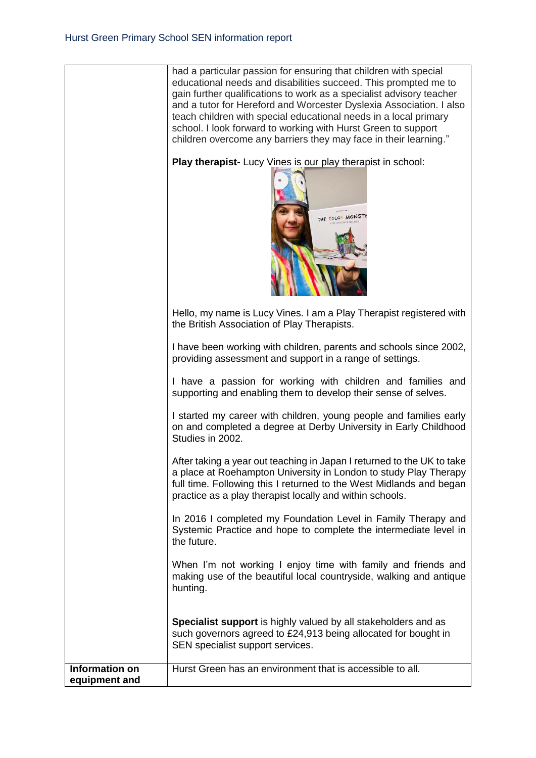|                                 | had a particular passion for ensuring that children with special<br>educational needs and disabilities succeed. This prompted me to<br>gain further qualifications to work as a specialist advisory teacher<br>and a tutor for Hereford and Worcester Dyslexia Association. I also<br>teach children with special educational needs in a local primary<br>school. I look forward to working with Hurst Green to support<br>children overcome any barriers they may face in their learning." |
|---------------------------------|---------------------------------------------------------------------------------------------------------------------------------------------------------------------------------------------------------------------------------------------------------------------------------------------------------------------------------------------------------------------------------------------------------------------------------------------------------------------------------------------|
|                                 | Play therapist- Lucy Vines is our play therapist in school:<br>THE COLOR MONSTE                                                                                                                                                                                                                                                                                                                                                                                                             |
|                                 | Hello, my name is Lucy Vines. I am a Play Therapist registered with<br>the British Association of Play Therapists.                                                                                                                                                                                                                                                                                                                                                                          |
|                                 | I have been working with children, parents and schools since 2002,<br>providing assessment and support in a range of settings.                                                                                                                                                                                                                                                                                                                                                              |
|                                 | I have a passion for working with children and families and<br>supporting and enabling them to develop their sense of selves.                                                                                                                                                                                                                                                                                                                                                               |
|                                 | I started my career with children, young people and families early<br>on and completed a degree at Derby University in Early Childhood<br>Studies in 2002.                                                                                                                                                                                                                                                                                                                                  |
|                                 | After taking a year out teaching in Japan I returned to the UK to take<br>a place at Roehampton University in London to study Play Therapy<br>full time. Following this I returned to the West Midlands and began<br>practice as a play therapist locally and within schools.                                                                                                                                                                                                               |
|                                 | In 2016 I completed my Foundation Level in Family Therapy and<br>Systemic Practice and hope to complete the intermediate level in<br>the future.                                                                                                                                                                                                                                                                                                                                            |
|                                 | When I'm not working I enjoy time with family and friends and<br>making use of the beautiful local countryside, walking and antique<br>hunting.                                                                                                                                                                                                                                                                                                                                             |
|                                 | Specialist support is highly valued by all stakeholders and as<br>such governors agreed to £24,913 being allocated for bought in<br>SEN specialist support services.                                                                                                                                                                                                                                                                                                                        |
| Information on<br>equipment and | Hurst Green has an environment that is accessible to all.                                                                                                                                                                                                                                                                                                                                                                                                                                   |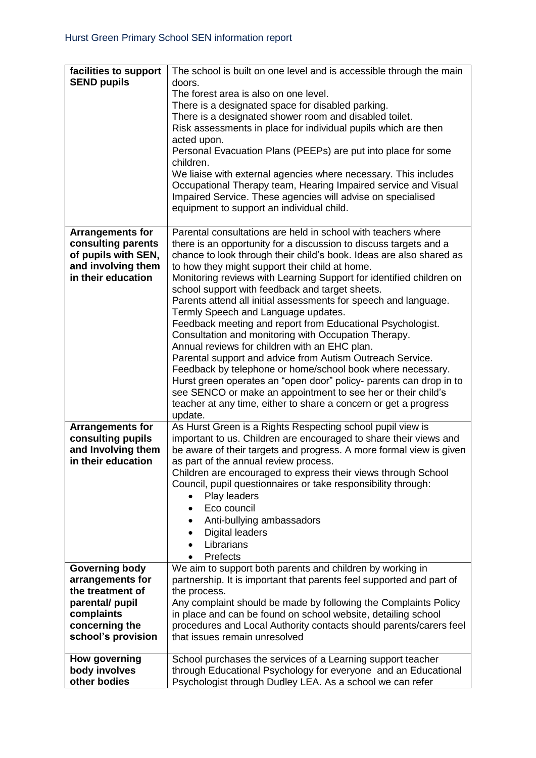| facilities to support<br><b>SEND pupils</b>                                                                      | The school is built on one level and is accessible through the main<br>doors.<br>The forest area is also on one level.<br>There is a designated space for disabled parking.<br>There is a designated shower room and disabled toilet.<br>Risk assessments in place for individual pupils which are then<br>acted upon.<br>Personal Evacuation Plans (PEEPs) are put into place for some<br>children.<br>We liaise with external agencies where necessary. This includes                                                                                                                                                                                                                                                                                                                                                                                                                                                                                                                                                |
|------------------------------------------------------------------------------------------------------------------|------------------------------------------------------------------------------------------------------------------------------------------------------------------------------------------------------------------------------------------------------------------------------------------------------------------------------------------------------------------------------------------------------------------------------------------------------------------------------------------------------------------------------------------------------------------------------------------------------------------------------------------------------------------------------------------------------------------------------------------------------------------------------------------------------------------------------------------------------------------------------------------------------------------------------------------------------------------------------------------------------------------------|
|                                                                                                                  | Occupational Therapy team, Hearing Impaired service and Visual<br>Impaired Service. These agencies will advise on specialised<br>equipment to support an individual child.                                                                                                                                                                                                                                                                                                                                                                                                                                                                                                                                                                                                                                                                                                                                                                                                                                             |
| <b>Arrangements for</b><br>consulting parents<br>of pupils with SEN,<br>and involving them<br>in their education | Parental consultations are held in school with teachers where<br>there is an opportunity for a discussion to discuss targets and a<br>chance to look through their child's book. Ideas are also shared as<br>to how they might support their child at home.<br>Monitoring reviews with Learning Support for identified children on<br>school support with feedback and target sheets.<br>Parents attend all initial assessments for speech and language.<br>Termly Speech and Language updates.<br>Feedback meeting and report from Educational Psychologist.<br>Consultation and monitoring with Occupation Therapy.<br>Annual reviews for children with an EHC plan.<br>Parental support and advice from Autism Outreach Service.<br>Feedback by telephone or home/school book where necessary.<br>Hurst green operates an "open door" policy- parents can drop in to<br>see SENCO or make an appointment to see her or their child's<br>teacher at any time, either to share a concern or get a progress<br>update. |
| <b>Arrangements for</b><br>consulting pupils                                                                     | As Hurst Green is a Rights Respecting school pupil view is<br>important to us. Children are encouraged to share their views and                                                                                                                                                                                                                                                                                                                                                                                                                                                                                                                                                                                                                                                                                                                                                                                                                                                                                        |
| and Involving them<br>in their education                                                                         | be aware of their targets and progress. A more formal view is given                                                                                                                                                                                                                                                                                                                                                                                                                                                                                                                                                                                                                                                                                                                                                                                                                                                                                                                                                    |
|                                                                                                                  | as part of the annual review process.<br>Children are encouraged to express their views through School<br>Council, pupil questionnaires or take responsibility through:<br>Play leaders<br>Eco council<br>$\bullet$<br>Anti-bullying ambassadors<br>٠<br><b>Digital leaders</b><br>٠<br>Librarians<br>Prefects                                                                                                                                                                                                                                                                                                                                                                                                                                                                                                                                                                                                                                                                                                         |
| <b>Governing body</b><br>arrangements for                                                                        | We aim to support both parents and children by working in<br>partnership. It is important that parents feel supported and part of                                                                                                                                                                                                                                                                                                                                                                                                                                                                                                                                                                                                                                                                                                                                                                                                                                                                                      |
| the treatment of                                                                                                 | the process.                                                                                                                                                                                                                                                                                                                                                                                                                                                                                                                                                                                                                                                                                                                                                                                                                                                                                                                                                                                                           |
| parental/ pupil                                                                                                  | Any complaint should be made by following the Complaints Policy                                                                                                                                                                                                                                                                                                                                                                                                                                                                                                                                                                                                                                                                                                                                                                                                                                                                                                                                                        |
| complaints<br>concerning the                                                                                     | in place and can be found on school website, detailing school<br>procedures and Local Authority contacts should parents/carers feel                                                                                                                                                                                                                                                                                                                                                                                                                                                                                                                                                                                                                                                                                                                                                                                                                                                                                    |
| school's provision                                                                                               | that issues remain unresolved                                                                                                                                                                                                                                                                                                                                                                                                                                                                                                                                                                                                                                                                                                                                                                                                                                                                                                                                                                                          |
| <b>How governing</b><br>body involves<br>other bodies                                                            | School purchases the services of a Learning support teacher<br>through Educational Psychology for everyone and an Educational<br>Psychologist through Dudley LEA. As a school we can refer                                                                                                                                                                                                                                                                                                                                                                                                                                                                                                                                                                                                                                                                                                                                                                                                                             |